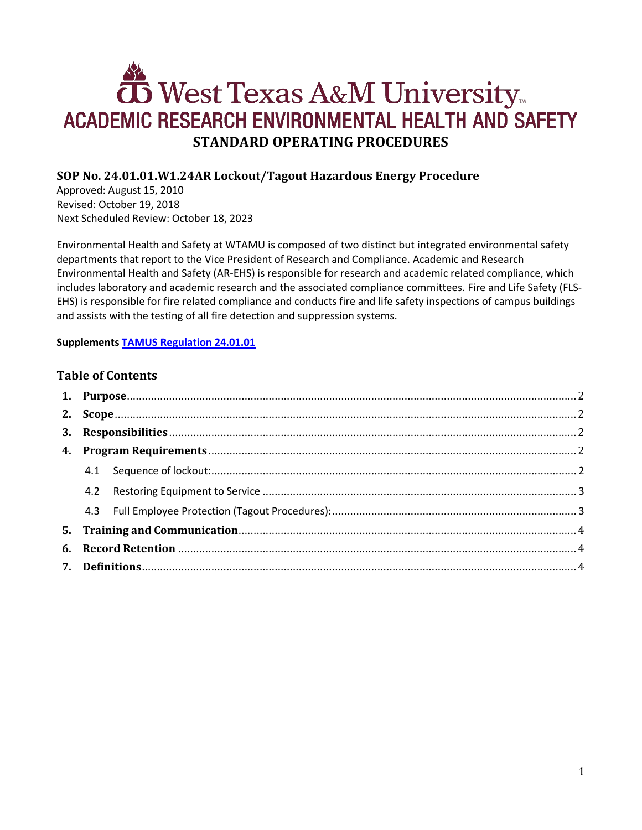# **OS** West Texas A&M University ACADEMIC RESEARCH ENVIRONMENTAL HEALTH AND SAFETY **STANDARD OPERATING PROCEDURES**

# **SOP No. 24.01.01.W1.24AR Lockout/Tagout Hazardous Energy Procedure**

Approved: August 15, 2010 Revised: October 19, 2018 Next Scheduled Review: October 18, 2023

Environmental Health and Safety at WTAMU is composed of two distinct but integrated environmental safety departments that report to the Vice President of Research and Compliance. Academic and Research Environmental Health and Safety (AR-EHS) is responsible for research and academic related compliance, which includes laboratory and academic research and the associated compliance committees. Fire and Life Safety (FLS-EHS) is responsible for fire related compliance and conducts fire and life safety inspections of campus buildings and assists with the testing of all fire detection and suppression systems.

#### **Supplements [TAMUS Regulation 24.01.01](http://policies.tamus.edu/24-01-01.pdf)**

#### **Table of Contents**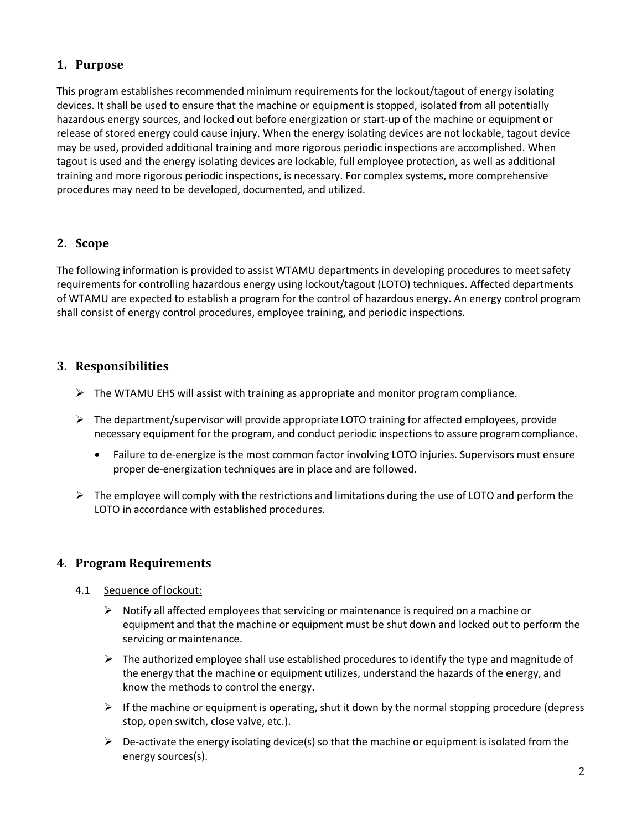## <span id="page-1-0"></span>**1. Purpose**

This program establishes recommended minimum requirements for the lockout/tagout of energy isolating devices. It shall be used to ensure that the machine or equipment is stopped, isolated from all potentially hazardous energy sources, and locked out before energization or start-up of the machine or equipment or release of stored energy could cause injury. When the energy isolating devices are not lockable, tagout device may be used, provided additional training and more rigorous periodic inspections are accomplished. When tagout is used and the energy isolating devices are lockable, full employee protection, as well as additional training and more rigorous periodic inspections, is necessary. For complex systems, more comprehensive procedures may need to be developed, documented, and utilized.

## <span id="page-1-1"></span>**2. Scope**

The following information is provided to assist WTAMU departments in developing procedures to meet safety requirements for controlling hazardous energy using lockout/tagout (LOTO) techniques. Affected departments of WTAMU are expected to establish a program for the control of hazardous energy. An energy control program shall consist of energy control procedures, employee training, and periodic inspections.

## <span id="page-1-2"></span>**3. Responsibilities**

- $\triangleright$  The WTAMU EHS will assist with training as appropriate and monitor program compliance.
- $\triangleright$  The department/supervisor will provide appropriate LOTO training for affected employees, provide necessary equipment for the program, and conduct periodic inspections to assure programcompliance.
	- Failure to de-energize is the most common factor involving LOTO injuries. Supervisors must ensure proper de-energization techniques are in place and are followed.
- $\triangleright$  The employee will comply with the restrictions and limitations during the use of LOTO and perform the LOTO in accordance with established procedures.

## <span id="page-1-3"></span>**4. Program Requirements**

- <span id="page-1-4"></span>4.1 Sequence of lockout:
	- $\triangleright$  Notify all affected employees that servicing or maintenance is required on a machine or equipment and that the machine or equipment must be shut down and locked out to perform the servicing or maintenance.
	- $\triangleright$  The authorized employee shall use established procedures to identify the type and magnitude of the energy that the machine or equipment utilizes, understand the hazards of the energy, and know the methods to control the energy.
	- $\triangleright$  If the machine or equipment is operating, shut it down by the normal stopping procedure (depress stop, open switch, close valve, etc.).
	- $\triangleright$  De-activate the energy isolating device(s) so that the machine or equipment is isolated from the energy sources(s).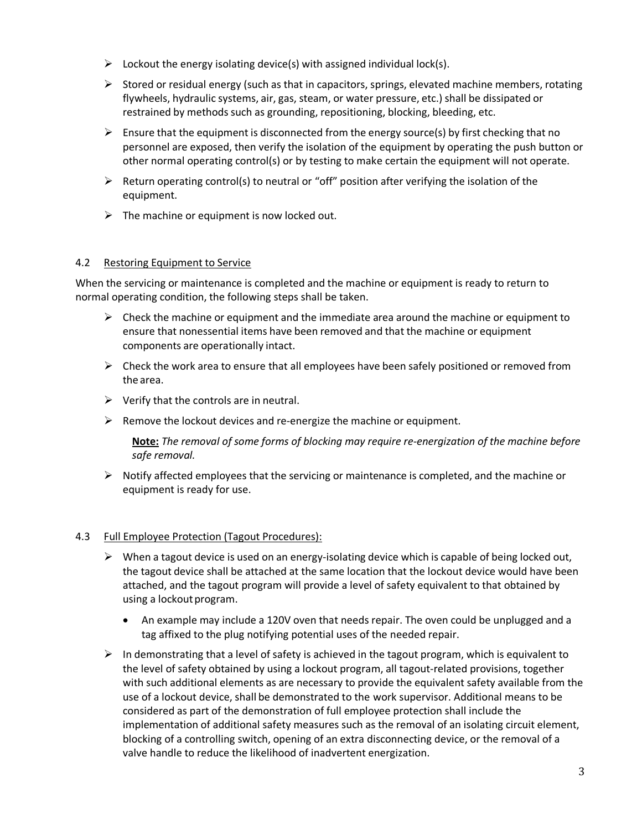- $\triangleright$  Lockout the energy isolating device(s) with assigned individual lock(s).
- $\triangleright$  Stored or residual energy (such as that in capacitors, springs, elevated machine members, rotating flywheels, hydraulic systems, air, gas, steam, or water pressure, etc.) shall be dissipated or restrained by methods such as grounding, repositioning, blocking, bleeding, etc.
- Ensure that the equipment is disconnected from the energy source(s) by first checking that no personnel are exposed, then verify the isolation of the equipment by operating the push button or other normal operating control(s) or by testing to make certain the equipment will not operate.
- $\triangleright$  Return operating control(s) to neutral or "off" position after verifying the isolation of the equipment.
- $\triangleright$  The machine or equipment is now locked out.

#### <span id="page-2-0"></span>4.2 Restoring Equipment to Service

When the servicing or maintenance is completed and the machine or equipment is ready to return to normal operating condition, the following steps shall be taken.

- $\triangleright$  Check the machine or equipment and the immediate area around the machine or equipment to ensure that nonessential items have been removed and that the machine or equipment components are operationally intact.
- $\triangleright$  Check the work area to ensure that all employees have been safely positioned or removed from the area.
- $\triangleright$  Verify that the controls are in neutral.
- $\triangleright$  Remove the lockout devices and re-energize the machine or equipment.

**Note:** *The removal of some forms of blocking may require re-energization of the machine before safe removal.*

 $\triangleright$  Notify affected employees that the servicing or maintenance is completed, and the machine or equipment is ready for use.

#### <span id="page-2-1"></span>4.3 Full Employee Protection (Tagout Procedures):

- $\triangleright$  When a tagout device is used on an energy-isolating device which is capable of being locked out, the tagout device shall be attached at the same location that the lockout device would have been attached, and the tagout program will provide a level of safety equivalent to that obtained by using a lockout program.
	- An example may include a 120V oven that needs repair. The oven could be unplugged and a tag affixed to the plug notifying potential uses of the needed repair.
- $\triangleright$  In demonstrating that a level of safety is achieved in the tagout program, which is equivalent to the level of safety obtained by using a lockout program, all tagout-related provisions, together with such additional elements as are necessary to provide the equivalent safety available from the use of a lockout device, shall be demonstrated to the work supervisor. Additional means to be considered as part of the demonstration of full employee protection shall include the implementation of additional safety measures such as the removal of an isolating circuit element, blocking of a controlling switch, opening of an extra disconnecting device, or the removal of a valve handle to reduce the likelihood of inadvertent energization.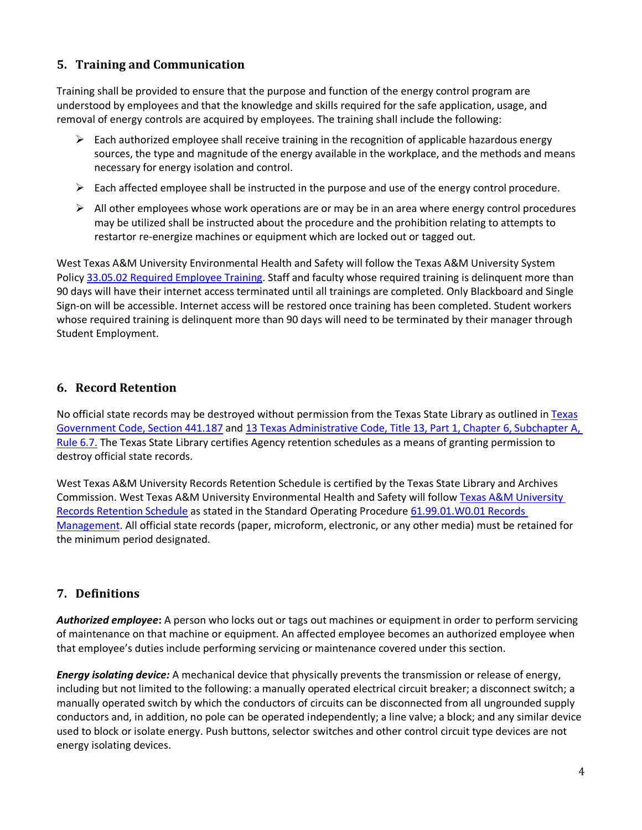# <span id="page-3-0"></span>**5. Training and Communication**

Training shall be provided to ensure that the purpose and function of the energy control program are understood by employees and that the knowledge and skills required for the safe application, usage, and removal of energy controls are acquired by employees. The training shall include the following:

- $\triangleright$  Each authorized employee shall receive training in the recognition of applicable hazardous energy sources, the type and magnitude of the energy available in the workplace, and the methods and means necessary for energy isolation and control.
- $\triangleright$  Each affected employee shall be instructed in the purpose and use of the energy control procedure.
- $\triangleright$  All other employees whose work operations are or may be in an area where energy control procedures may be utilized shall be instructed about the procedure and the prohibition relating to attempts to restartor re-energize machines or equipment which are locked out or tagged out.

West Texas A&M University Environmental Health and Safety will follow the Texas A&M University System Polic[y 33.05.02 Required Employee Training.](http://policies.tamus.edu/33-05-02.pdf) Staff and faculty whose required training is delinquent more than 90 days will have their internet access terminated until all trainings are completed. Only Blackboard and Single Sign-on will be accessible. Internet access will be restored once training has been completed. Student workers whose required training is delinquent more than 90 days will need to be terminated by their manager through Student Employment.

## <span id="page-3-1"></span>**6. Record Retention**

No official state records may be destroyed without permission from the [Texas](http://www.statutes.legis.state.tx.us/?link=GV) State Library as outlined in Texas [Government Code, Section 441.187](http://www.statutes.legis.state.tx.us/?link=GV) and [13 Texas Administrative Code, Title 13, Part 1, Chapter 6, Subchapter A,](http://txrules.elaws.us/rule/title13_chapter6_sec.6.7)  [Rule](http://txrules.elaws.us/rule/title13_chapter6_sec.6.7) 6.7. The Texas State Library certifies Agency retention schedules as a means of granting permission to destroy official state records.

West Texas A&M University Records Retention Schedule is certified by the Texas State Library and Archives Commission. West Texas A&M University Environmental Health and Safety will follo[w Texas A&M](https://www.wtamu.edu/webres/File/Risk%20Management/System-Records-Retention-Schedule.pdf) University [Records Retention Schedule](https://www.wtamu.edu/webres/File/Risk%20Management/System-Records-Retention-Schedule.pdf) as stated in the Standard Operating Procedure [61.99.01.W0.01 Records](http://www.wtamu.edu/webres/File/Risk%20Management/61.99.01.W0.01_PROCEDURE_Records%20Management_FINAL%20SIGNED.pdf)  [Management.](http://www.wtamu.edu/webres/File/Risk%20Management/61.99.01.W0.01_PROCEDURE_Records%20Management_FINAL%20SIGNED.pdf) All official state records (paper, microform, electronic, or any other media) must be retained for the minimum period designated.

## <span id="page-3-2"></span>**7. Definitions**

*Authorized employee***:** A person who locks out or tags out machines or equipment in order to perform servicing of maintenance on that machine or equipment. An affected employee becomes an authorized employee when that employee's duties include performing servicing or maintenance covered under this section.

*Energy isolating device:* A mechanical device that physically prevents the transmission or release of energy, including but not limited to the following: a manually operated electrical circuit breaker; a disconnect switch; a manually operated switch by which the conductors of circuits can be disconnected from all ungrounded supply conductors and, in addition, no pole can be operated independently; a line valve; a block; and any similar device used to block or isolate energy. Push buttons, selector switches and other control circuit type devices are not energy isolating devices.